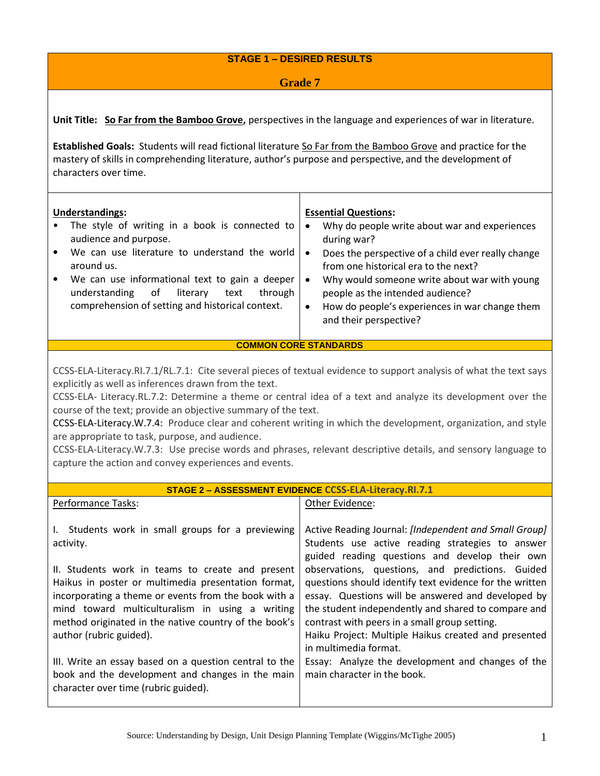#### **STAGE 1 – DESIRED RESULTS**

#### **Grade 7**

**Unit Title: So Far from the Bamboo Grove,** perspectives in the language and experiences of war in literature.

**Established Goals:** Students will read fictional literature So Far from the Bamboo Grove and practice for the mastery of skills in comprehending literature, author's purpose and perspective, and the development of characters over time.

| <b>Understandings:</b>                                                                                                                                                | <b>Essential Questions:</b>                                                                                                                                       |
|-----------------------------------------------------------------------------------------------------------------------------------------------------------------------|-------------------------------------------------------------------------------------------------------------------------------------------------------------------|
| The style of writing in a book is connected to<br>audience and purpose.                                                                                               | Why do people write about war and experiences<br>$\bullet$<br>during war?                                                                                         |
| We can use literature to understand the world<br>$\bullet$<br>around us.                                                                                              | Does the perspective of a child ever really change<br>from one historical era to the next?                                                                        |
| We can use informational text to gain a deeper<br>$\bullet$<br>through<br>understanding<br>literary<br>of<br>text<br>comprehension of setting and historical context. | Why would someone write about war with young<br>people as the intended audience?<br>How do people's experiences in war change them<br>٠<br>and their perspective? |

#### **COMMON CORE STANDARDS**

CCSS-ELA-Literacy.RI.7.1/RL.7.1: Cite several pieces of textual evidence to support analysis of what the text says explicitly as well as inferences drawn from the text.

CCSS-ELA- Literacy.RL.7.2: Determine a theme or central idea of a text and analyze its development over the course of the text; provide an objective summary of the text.

CCSS-ELA-Literacy.W.7.4: Produce clear and coherent writing in which the development, organization, and style are appropriate to task, purpose, and audience.

CCSS-ELA-Literacy.W.7.3: Use precise words and phrases, relevant descriptive details, and sensory language to capture the action and convey experiences and events.

| STAGE 2 - ASSESSMENT EVIDENCE CCSS-ELA-Literacy.RI.7.1                                                                                                                                                                                                                                                                                                                                |                                                                                                                                                                                                                                                                                                                                                                                                                                                                                                                           |  |  |  |  |
|---------------------------------------------------------------------------------------------------------------------------------------------------------------------------------------------------------------------------------------------------------------------------------------------------------------------------------------------------------------------------------------|---------------------------------------------------------------------------------------------------------------------------------------------------------------------------------------------------------------------------------------------------------------------------------------------------------------------------------------------------------------------------------------------------------------------------------------------------------------------------------------------------------------------------|--|--|--|--|
| Performance Tasks:                                                                                                                                                                                                                                                                                                                                                                    | Other Evidence:                                                                                                                                                                                                                                                                                                                                                                                                                                                                                                           |  |  |  |  |
| Students work in small groups for a previewing<br>$\mathbf{L}$<br>activity.<br>II. Students work in teams to create and present<br>Haikus in poster or multimedia presentation format,<br>incorporating a theme or events from the book with a<br>mind toward multiculturalism in using a writing<br>method originated in the native country of the book's<br>author (rubric guided). | Active Reading Journal: [Independent and Small Group]<br>Students use active reading strategies to answer<br>guided reading questions and develop their own<br>observations, questions, and predictions. Guided<br>questions should identify text evidence for the written<br>essay. Questions will be answered and developed by<br>the student independently and shared to compare and<br>contrast with peers in a small group setting.<br>Haiku Project: Multiple Haikus created and presented<br>in multimedia format. |  |  |  |  |
| III. Write an essay based on a question central to the<br>book and the development and changes in the main<br>character over time (rubric guided).                                                                                                                                                                                                                                    | Essay: Analyze the development and changes of the<br>main character in the book.                                                                                                                                                                                                                                                                                                                                                                                                                                          |  |  |  |  |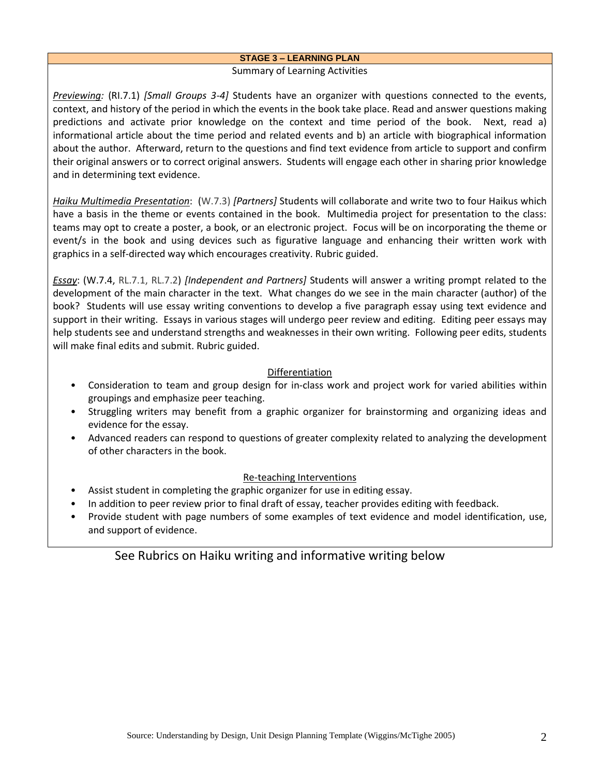#### **STAGE 3 – LEARNING PLAN**

#### Summary of Learning Activities

*Previewing:* (RI.7.1) *[Small Groups 3-4]* Students have an organizer with questions connected to the events, context, and history of the period in which the events in the book take place. Read and answer questions making predictions and activate prior knowledge on the context and time period of the book. Next, read a) informational article about the time period and related events and b) an article with biographical information about the author. Afterward, return to the questions and find text evidence from article to support and confirm their original answers or to correct original answers. Students will engage each other in sharing prior knowledge and in determining text evidence.

*Haiku Multimedia Presentation*: (W.7.3) *[Partners]* Students will collaborate and write two to four Haikus which have a basis in the theme or events contained in the book. Multimedia project for presentation to the class: teams may opt to create a poster, a book, or an electronic project. Focus will be on incorporating the theme or event/s in the book and using devices such as figurative language and enhancing their written work with graphics in a self-directed way which encourages creativity. Rubric guided.

*Essay*: (W.7.4, RL.7.1, RL.7.2) *[Independent and Partners]* Students will answer a writing prompt related to the development of the main character in the text. What changes do we see in the main character (author) of the book? Students will use essay writing conventions to develop a five paragraph essay using text evidence and support in their writing. Essays in various stages will undergo peer review and editing. Editing peer essays may help students see and understand strengths and weaknesses in their own writing. Following peer edits, students will make final edits and submit. Rubric guided.

#### Differentiation

- Consideration to team and group design for in-class work and project work for varied abilities within groupings and emphasize peer teaching.
- Struggling writers may benefit from a graphic organizer for brainstorming and organizing ideas and evidence for the essay.
- Advanced readers can respond to questions of greater complexity related to analyzing the development of other characters in the book.

#### Re-teaching Interventions

- Assist student in completing the graphic organizer for use in editing essay.
- In addition to peer review prior to final draft of essay, teacher provides editing with feedback.
- Provide student with page numbers of some examples of text evidence and model identification, use, and support of evidence.

### See Rubrics on Haiku writing and informative writing below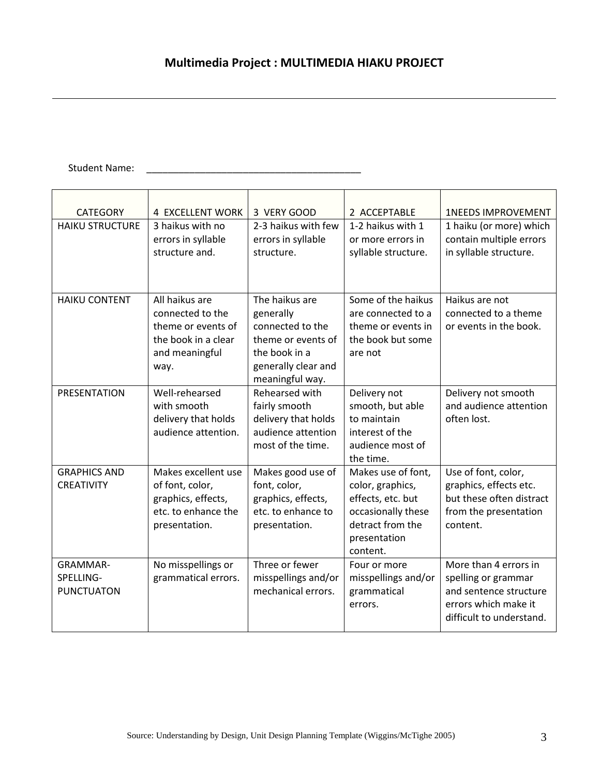# **Multimedia Project : MULTIMEDIA HIAKU PROJECT**

# Student Name: \_\_\_\_\_\_\_\_\_\_\_\_\_\_\_\_\_\_\_\_\_\_\_\_\_\_\_\_\_\_\_\_\_\_\_\_\_\_\_\_

| <b>CATEGORY</b>                                   | 4 EXCELLENT WORK                                                                                          | 3 VERY GOOD                                                                                                                      | 2 ACCEPTABLE                                                                                                                      | <b>1NEEDS IMPROVEMENT</b>                                                                                                  |
|---------------------------------------------------|-----------------------------------------------------------------------------------------------------------|----------------------------------------------------------------------------------------------------------------------------------|-----------------------------------------------------------------------------------------------------------------------------------|----------------------------------------------------------------------------------------------------------------------------|
| <b>HAIKU STRUCTURE</b>                            | 3 haikus with no<br>errors in syllable<br>structure and.                                                  | 2-3 haikus with few<br>errors in syllable<br>structure.                                                                          | 1-2 haikus with 1<br>or more errors in<br>syllable structure.                                                                     | 1 haiku (or more) which<br>contain multiple errors<br>in syllable structure.                                               |
|                                                   |                                                                                                           |                                                                                                                                  |                                                                                                                                   |                                                                                                                            |
| <b>HAIKU CONTENT</b>                              | All haikus are<br>connected to the<br>theme or events of<br>the book in a clear<br>and meaningful<br>way. | The haikus are<br>generally<br>connected to the<br>theme or events of<br>the book in a<br>generally clear and<br>meaningful way. | Some of the haikus<br>are connected to a<br>theme or events in<br>the book but some<br>are not                                    | Haikus are not<br>connected to a theme<br>or events in the book.                                                           |
| <b>PRESENTATION</b>                               | Well-rehearsed<br>with smooth<br>delivery that holds<br>audience attention.                               | Rehearsed with<br>fairly smooth<br>delivery that holds<br>audience attention<br>most of the time.                                | Delivery not<br>smooth, but able<br>to maintain<br>interest of the<br>audience most of<br>the time.                               | Delivery not smooth<br>and audience attention<br>often lost.                                                               |
| <b>GRAPHICS AND</b><br><b>CREATIVITY</b>          | Makes excellent use<br>of font, color,<br>graphics, effects,<br>etc. to enhance the<br>presentation.      | Makes good use of<br>font, color,<br>graphics, effects,<br>etc. to enhance to<br>presentation.                                   | Makes use of font,<br>color, graphics,<br>effects, etc. but<br>occasionally these<br>detract from the<br>presentation<br>content. | Use of font, color,<br>graphics, effects etc.<br>but these often distract<br>from the presentation<br>content.             |
| <b>GRAMMAR-</b><br>SPELLING-<br><b>PUNCTUATON</b> | No misspellings or<br>grammatical errors.                                                                 | Three or fewer<br>misspellings and/or<br>mechanical errors.                                                                      | Four or more<br>misspellings and/or<br>grammatical<br>errors.                                                                     | More than 4 errors in<br>spelling or grammar<br>and sentence structure<br>errors which make it<br>difficult to understand. |